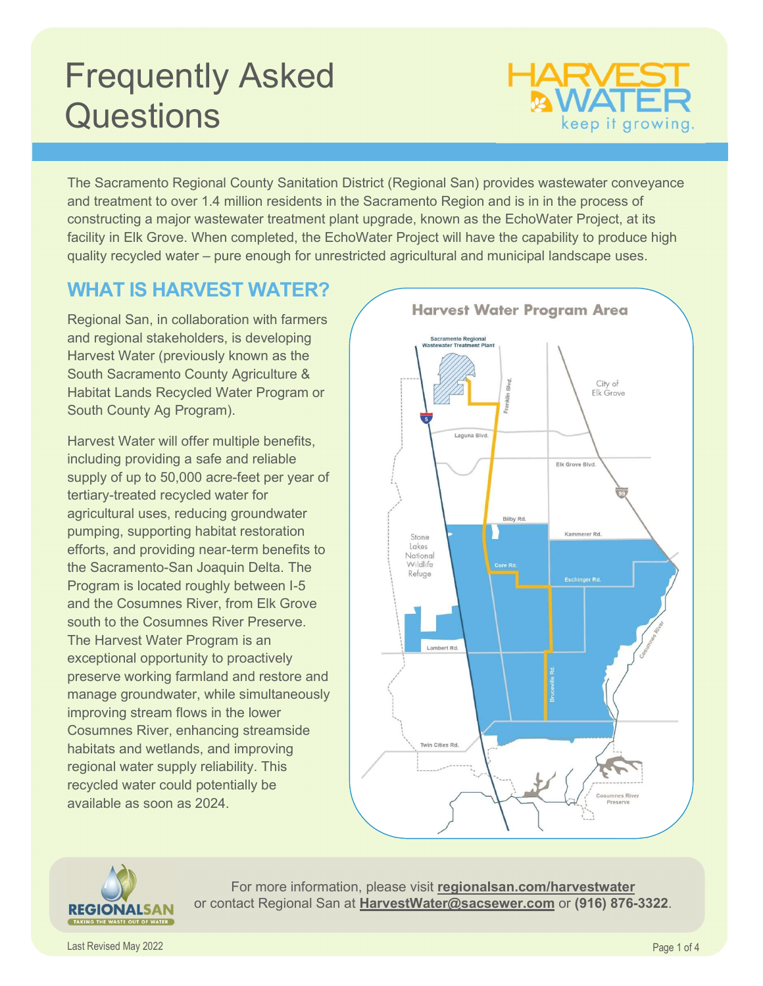# Frequently Asked **Questions**



The Sacramento Regional County Sanitation District (Regional San) provides wastewater conveyance and treatment to over 1.4 million residents in the Sacramento Region and is in in the process of constructing a major wastewater treatment plant upgrade, known as the EchoWater Project, at its facility in Elk Grove. When completed, the EchoWater Project will have the capability to produce high quality recycled water – pure enough for unrestricted agricultural and municipal landscape uses.

### WHAT IS HARVEST WATER?

Regional San, in collaboration with farmers and regional stakeholders, is developing Harvest Water (previously known as the South Sacramento County Agriculture & Habitat Lands Recycled Water Program or South County Ag Program).

Harvest Water will offer multiple benefits, including providing a safe and reliable supply of up to 50,000 acre-feet per year of tertiary-treated recycled water for agricultural uses, reducing groundwater pumping, supporting habitat restoration efforts, and providing near-term benefits to the Sacramento-San Joaquin Delta. The Program is located roughly between I-5 and the Cosumnes River, from Elk Grove south to the Cosumnes River Preserve. The Harvest Water Program is an exceptional opportunity to proactively preserve working farmland and restore and manage groundwater, while simultaneously improving stream flows in the lower Cosumnes River, enhancing streamside habitats and wetlands, and improving regional water supply reliability. This recycled water could potentially be available as soon as 2024.





For more information, please visit regionalsan.com/harvestwater or contact Regional San at HarvestWater@sacsewer.com or (916) 876-3322.

Last Revised May 2022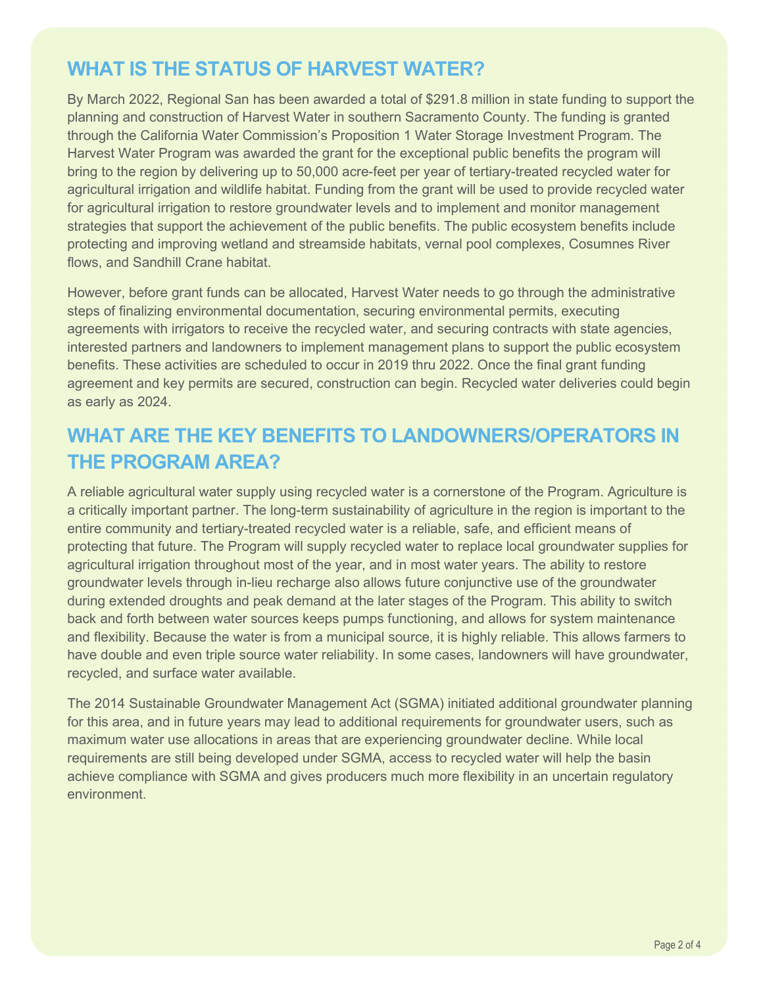### WHAT IS THE STATUS OF HARVEST WATER?

By March 2022, Regional San has been awarded a total of \$291.8 million in state funding to support the planning and construction of Harvest Water in southern Sacramento County. The funding is granted through the California Water Commission's Proposition 1 Water Storage Investment Program. The Harvest Water Program was awarded the grant for the exceptional public benefits the program will bring to the region by delivering up to 50,000 acre-feet per year of tertiary-treated recycled water for agricultural irrigation and wildlife habitat. Funding from the grant will be used to provide recycled water for agricultural irrigation to restore groundwater levels and to implement and monitor management strategies that support the achievement of the public benefits. The public ecosystem benefits include protecting and improving wetland and streamside habitats, vernal pool complexes, Cosumnes River flows, and Sandhill Crane habitat.

However, before grant funds can be allocated, Harvest Water needs to go through the administrative steps of finalizing environmental documentation, securing environmental permits, executing agreements with irrigators to receive the recycled water, and securing contracts with state agencies, interested partners and landowners to implement management plans to support the public ecosystem benefits. These activities are scheduled to occur in 2019 thru 2022. Once the final grant funding agreement and key permits are secured, construction can begin. Recycled water deliveries could begin as early as 2024.

## WHAT ARE THE KEY BENEFITS TO LANDOWNERS/OPERATORS IN THE PROGRAM AREA?

A reliable agricultural water supply using recycled water is a cornerstone of the Program. Agriculture is a critically important partner. The long-term sustainability of agriculture in the region is important to the entire community and tertiary-treated recycled water is a reliable, safe, and efficient means of protecting that future. The Program will supply recycled water to replace local groundwater supplies for agricultural irrigation throughout most of the year, and in most water years. The ability to restore groundwater levels through in-lieu recharge also allows future conjunctive use of the groundwater during extended droughts and peak demand at the later stages of the Program. This ability to switch back and forth between water sources keeps pumps functioning, and allows for system maintenance and flexibility. Because the water is from a municipal source, it is highly reliable. This allows farmers to have double and even triple source water reliability. In some cases, landowners will have groundwater, recycled, and surface water available.

The 2014 Sustainable Groundwater Management Act (SGMA) initiated additional groundwater planning for this area, and in future years may lead to additional requirements for groundwater users, such as maximum water use allocations in areas that are experiencing groundwater decline. While local requirements are still being developed under SGMA, access to recycled water will help the basin achieve compliance with SGMA and gives producers much more flexibility in an uncertain regulatory environment.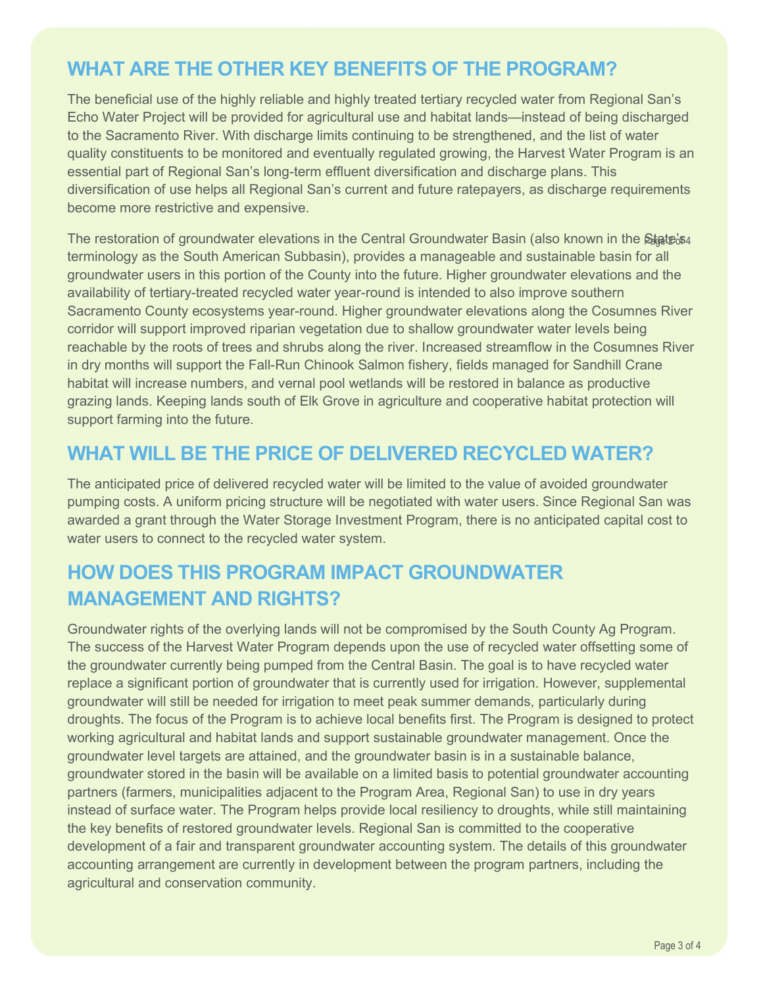### WHAT ARE THE OTHER KEY BENEFITS OF THE PROGRAM?

The beneficial use of the highly reliable and highly treated tertiary recycled water from Regional San's Echo Water Project will be provided for agricultural use and habitat lands—instead of being discharged to the Sacramento River. With discharge limits continuing to be strengthened, and the list of water quality constituents to be monitored and eventually regulated growing, the Harvest Water Program is an essential part of Regional San's long-term effluent diversification and discharge plans. This diversification of use helps all Regional San's current and future ratepayers, as discharge requirements become more restrictive and expensive.

The restoration of groundwater elevations in the Central Groundwater Basin (also known in the **State**ඍ terminology as the South American Subbasin), provides a manageable and sustainable basin for all groundwater users in this portion of the County into the future. Higher groundwater elevations and the availability of tertiary-treated recycled water year-round is intended to also improve southern Sacramento County ecosystems year-round. Higher groundwater elevations along the Cosumnes River corridor will support improved riparian vegetation due to shallow groundwater water levels being reachable by the roots of trees and shrubs along the river. Increased streamflow in the Cosumnes River in dry months will support the Fall-Run Chinook Salmon fishery, fields managed for Sandhill Crane habitat will increase numbers, and vernal pool wetlands will be restored in balance as productive grazing lands. Keeping lands south of Elk Grove in agriculture and cooperative habitat protection will support farming into the future.

#### WHAT WILL BE THE PRICE OF DELIVERED RECYCLED WATER?

The anticipated price of delivered recycled water will be limited to the value of avoided groundwater pumping costs. A uniform pricing structure will be negotiated with water users. Since Regional San was awarded a grant through the Water Storage Investment Program, there is no anticipated capital cost to water users to connect to the recycled water system.

## HOW DOES THIS PROGRAM IMPACT GROUNDWATER MANAGEMENT AND RIGHTS?

Groundwater rights of the overlying lands will not be compromised by the South County Ag Program. The success of the Harvest Water Program depends upon the use of recycled water offsetting some of the groundwater currently being pumped from the Central Basin. The goal is to have recycled water replace a significant portion of groundwater that is currently used for irrigation. However, supplemental groundwater will still be needed for irrigation to meet peak summer demands, particularly during droughts. The focus of the Program is to achieve local benefits first. The Program is designed to protect working agricultural and habitat lands and support sustainable groundwater management. Once the groundwater level targets are attained, and the groundwater basin is in a sustainable balance, groundwater stored in the basin will be available on a limited basis to potential groundwater accounting partners (farmers, municipalities adjacent to the Program Area, Regional San) to use in dry years instead of surface water. The Program helps provide local resiliency to droughts, while still maintaining the key benefits of restored groundwater levels. Regional San is committed to the cooperative development of a fair and transparent groundwater accounting system. The details of this groundwater accounting arrangement are currently in development between the program partners, including the agricultural and conservation community.